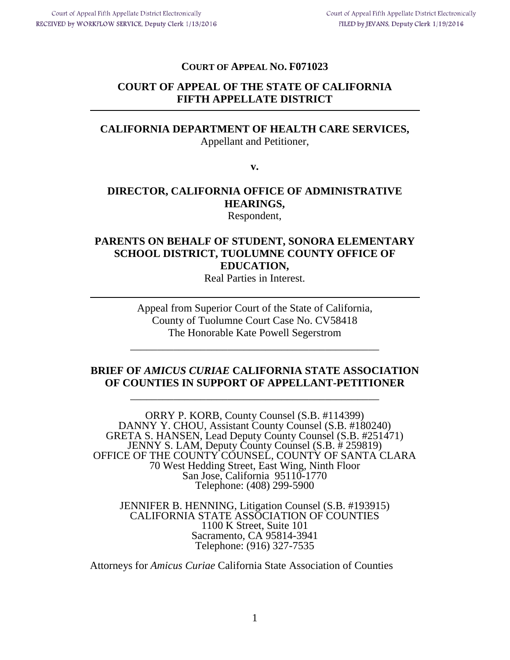### **COURT OF APPEAL NO. F071023**

# **COURT OF APPEAL OF THE STATE OF CALIFORNIA FIFTH APPELLATE DISTRICT**

**CALIFORNIA DEPARTMENT OF HEALTH CARE SERVICES,** Appellant and Petitioner,

**v.**

### **DIRECTOR, CALIFORNIA OFFICE OF ADMINISTRATIVE HEARINGS,** Respondent,

# **PARENTS ON BEHALF OF STUDENT, SONORA ELEMENTARY SCHOOL DISTRICT, TUOLUMNE COUNTY OFFICE OF EDUCATION,**

Real Parties in Interest.

Appeal from Superior Court of the State of California, County of Tuolumne Court Case No. CV58418 The Honorable Kate Powell Segerstrom

\_\_\_\_\_\_\_\_\_\_\_\_\_\_\_\_\_\_\_\_\_\_\_\_\_\_\_\_\_\_\_\_\_\_\_\_\_\_\_\_\_\_\_\_\_\_

### **BRIEF OF** *AMICUS CURIAE* **CALIFORNIA STATE ASSOCIATION OF COUNTIES IN SUPPORT OF APPELLANT-PETITIONER**

\_\_\_\_\_\_\_\_\_\_\_\_\_\_\_\_\_\_\_\_\_\_\_\_\_\_\_\_\_\_\_\_\_\_\_\_\_\_\_\_\_\_\_\_\_\_

ORRY P. KORB, County Counsel (S.B. #114399) DANNY Y. CHOU, Assistant County Counsel (S.B. #180240) GRETA S. HANSEN, Lead Deputy County Counsel (S.B. #251471) JENNY S. LAM, Deputy County Counsel (S.B. # 259819) OFFICE OF THE COUNTY COUNSEL, COUNTY OF SANTA CLARA 70 West Hedding Street, East Wing, Ninth Floor San Jose, California 95110-1770 Telephone: (408) 299-5900

JENNIFER B. HENNING, Litigation Counsel (S.B. #193915) CALIFORNIA STATE ASSOCIATION OF COUNTIES 1100 K Street, Suite 101 Sacramento, CA 95814-3941 Telephone: (916) 327-7535

Attorneys for *Amicus Curiae* California State Association of Counties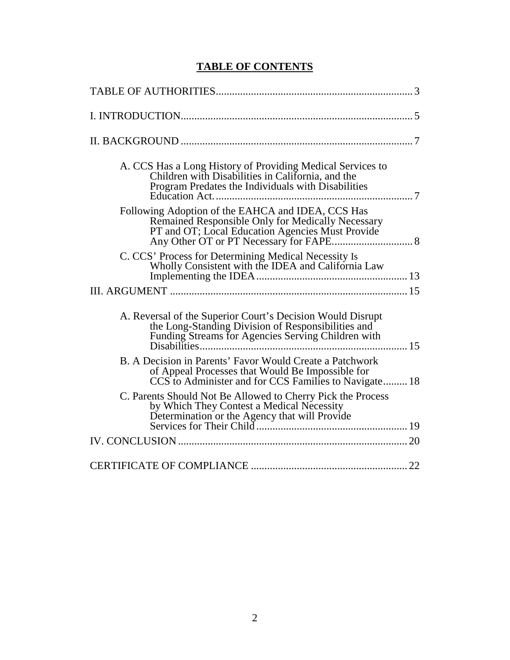# **TABLE OF CONTENTS**

| A. CCS Has a Long History of Providing Medical Services to<br>Children with Disabilities in California, and the<br>Program Predates the Individuals with Disabilities                  |
|----------------------------------------------------------------------------------------------------------------------------------------------------------------------------------------|
| Following Adoption of the EAHCA and IDEA, CCS Has<br>Remained Responsible Only for Medically Necessary<br>PT and OT; Local Education Agencies Must Provide                             |
| C. CCS' Process for Determining Medical Necessity Is<br>Wholly Consistent with the IDEA and California Law                                                                             |
|                                                                                                                                                                                        |
| A. Reversal of the Superior Court's Decision Would Disrupt<br>the Long-Standing Division of Responsibilities and<br>Funding Streams for Agencies Serving Children with<br>Disabilities |
| B. A Decision in Parents' Favor Would Create a Patchwork<br>of Appeal Processes that Would Be Impossible for<br>CCS to Administer and for CCS Families to Navigate 18                  |
| C. Parents Should Not Be Allowed to Cherry Pick the Process<br>by Which They Contest a Medical Necessity                                                                               |
|                                                                                                                                                                                        |
|                                                                                                                                                                                        |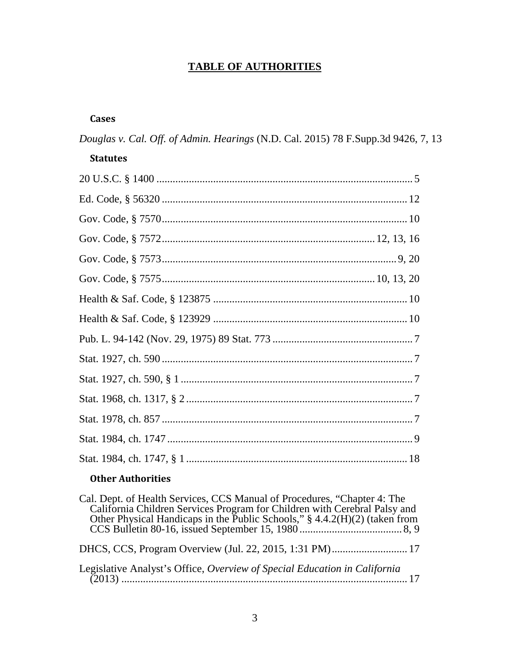# **TABLE OF AUTHORITIES**

# **Cases**

*Douglas v. Cal. Off. of Admin. Hearings* (N.D. Cal. 2015) 78 F.Supp.3d 9426, 7, 13

# **Statutes**

# **Other Authorities**

| Cal. Dept. of Health Services, CCS Manual of Procedures, "Chapter 4: The California Children Services Program for Children with Cerebral Palsy and Other Physical Handicaps in the Public Schools," § 4.4.2(H)(2) (taken from |
|-------------------------------------------------------------------------------------------------------------------------------------------------------------------------------------------------------------------------------|
|                                                                                                                                                                                                                               |
| Legislative Analyst's Office, Overview of Special Education in California                                                                                                                                                     |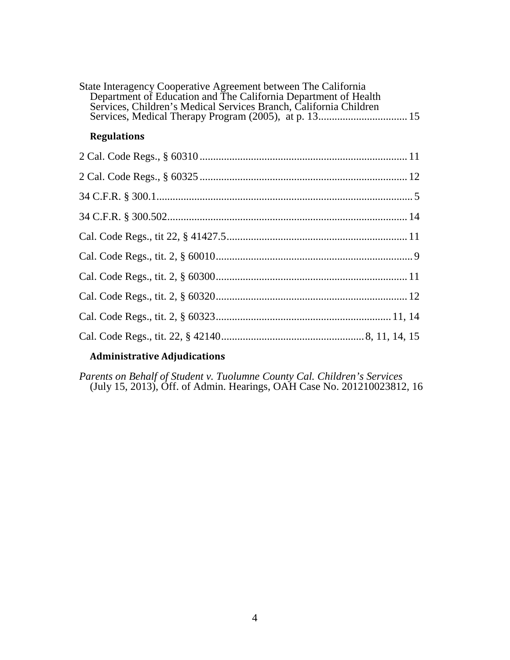| State Interagency Cooperative Agreement between The California<br>Department of Education and The California Department of Health<br>Services, Children's Medical Services Branch, California Children |  |
|--------------------------------------------------------------------------------------------------------------------------------------------------------------------------------------------------------|--|
| <b>Regulations</b>                                                                                                                                                                                     |  |
|                                                                                                                                                                                                        |  |
|                                                                                                                                                                                                        |  |
|                                                                                                                                                                                                        |  |
|                                                                                                                                                                                                        |  |
|                                                                                                                                                                                                        |  |
|                                                                                                                                                                                                        |  |
|                                                                                                                                                                                                        |  |
|                                                                                                                                                                                                        |  |
|                                                                                                                                                                                                        |  |
|                                                                                                                                                                                                        |  |
|                                                                                                                                                                                                        |  |

# **Administrative Adjudications**

*Parents on Behalf of Student v. Tuolumne County Cal. Children's Services* (July 15, 2013), Off. of Admin. Hearings, OAH Case No. 201210023812, 16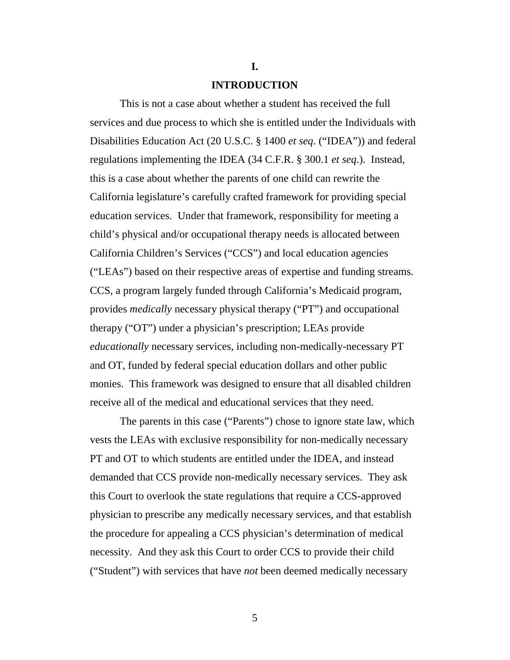#### **I.**

#### **INTRODUCTION**

This is not a case about whether a student has received the full services and due process to which she is entitled under the Individuals with Disabilities Education Act (20 U.S.C. § 1400 *et seq*. ("IDEA")) and federal regulations implementing the IDEA (34 C.F.R. § 300.1 *et seq*.). Instead, this is a case about whether the parents of one child can rewrite the California legislature's carefully crafted framework for providing special education services. Under that framework, responsibility for meeting a child's physical and/or occupational therapy needs is allocated between California Children's Services ("CCS") and local education agencies ("LEAs") based on their respective areas of expertise and funding streams. CCS, a program largely funded through California's Medicaid program, provides *medically* necessary physical therapy ("PT") and occupational therapy ("OT") under a physician's prescription; LEAs provide *educationally* necessary services, including non-medically-necessary PT and OT, funded by federal special education dollars and other public monies. This framework was designed to ensure that all disabled children receive all of the medical and educational services that they need.

The parents in this case ("Parents") chose to ignore state law, which vests the LEAs with exclusive responsibility for non-medically necessary PT and OT to which students are entitled under the IDEA, and instead demanded that CCS provide non-medically necessary services. They ask this Court to overlook the state regulations that require a CCS-approved physician to prescribe any medically necessary services, and that establish the procedure for appealing a CCS physician's determination of medical necessity. And they ask this Court to order CCS to provide their child ("Student") with services that have *not* been deemed medically necessary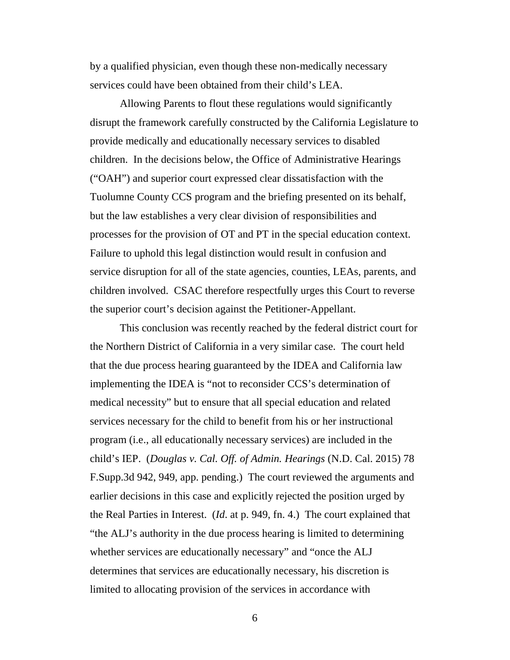by a qualified physician, even though these non-medically necessary services could have been obtained from their child's LEA.

Allowing Parents to flout these regulations would significantly disrupt the framework carefully constructed by the California Legislature to provide medically and educationally necessary services to disabled children. In the decisions below, the Office of Administrative Hearings ("OAH") and superior court expressed clear dissatisfaction with the Tuolumne County CCS program and the briefing presented on its behalf, but the law establishes a very clear division of responsibilities and processes for the provision of OT and PT in the special education context. Failure to uphold this legal distinction would result in confusion and service disruption for all of the state agencies, counties, LEAs, parents, and children involved. CSAC therefore respectfully urges this Court to reverse the superior court's decision against the Petitioner-Appellant.

This conclusion was recently reached by the federal district court for the Northern District of California in a very similar case. The court held that the due process hearing guaranteed by the IDEA and California law implementing the IDEA is "not to reconsider CCS's determination of medical necessity" but to ensure that all special education and related services necessary for the child to benefit from his or her instructional program (i.e., all educationally necessary services) are included in the child's IEP. (*Douglas v. Cal. Off. of Admin. Hearings* (N.D. Cal. 2015) 78 F.Supp.3d 942, 949, app. pending.) The court reviewed the arguments and earlier decisions in this case and explicitly rejected the position urged by the Real Parties in Interest. (*Id*. at p. 949, fn. 4.) The court explained that "the ALJ's authority in the due process hearing is limited to determining whether services are educationally necessary" and "once the ALJ determines that services are educationally necessary, his discretion is limited to allocating provision of the services in accordance with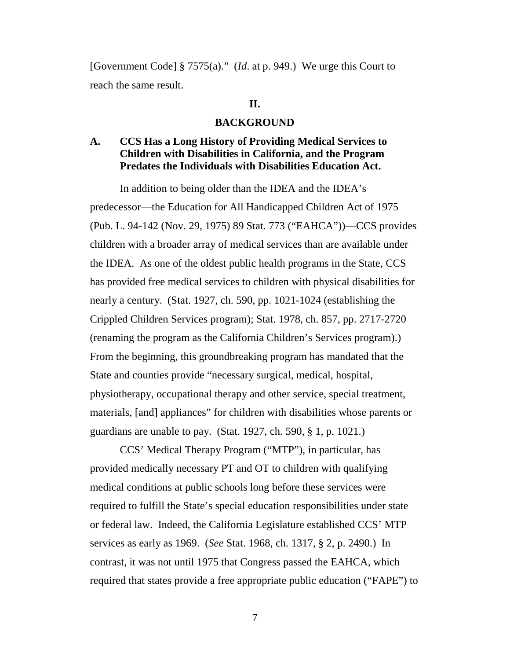[Government Code] § 7575(a)." (*Id*. at p. 949.) We urge this Court to reach the same result.

#### **II.**

#### **BACKGROUND**

# **A. CCS Has a Long History of Providing Medical Services to Children with Disabilities in California, and the Program Predates the Individuals with Disabilities Education Act.**

In addition to being older than the IDEA and the IDEA's predecessor—the Education for All Handicapped Children Act of 1975 (Pub. L. 94-142 (Nov. 29, 1975) 89 Stat. 773 ("EAHCA"))—CCS provides children with a broader array of medical services than are available under the IDEA. As one of the oldest public health programs in the State, CCS has provided free medical services to children with physical disabilities for nearly a century. (Stat. 1927, ch. 590, pp. 1021-1024 (establishing the Crippled Children Services program); Stat. 1978, ch. 857, pp. 2717-2720 (renaming the program as the California Children's Services program).) From the beginning, this groundbreaking program has mandated that the State and counties provide "necessary surgical, medical, hospital, physiotherapy, occupational therapy and other service, special treatment, materials, [and] appliances" for children with disabilities whose parents or guardians are unable to pay. (Stat. 1927, ch. 590, § 1, p. 1021.)

CCS' Medical Therapy Program ("MTP"), in particular, has provided medically necessary PT and OT to children with qualifying medical conditions at public schools long before these services were required to fulfill the State's special education responsibilities under state or federal law. Indeed, the California Legislature established CCS' MTP services as early as 1969. (*See* Stat. 1968, ch. 1317, § 2, p. 2490.) In contrast, it was not until 1975 that Congress passed the EAHCA, which required that states provide a free appropriate public education ("FAPE") to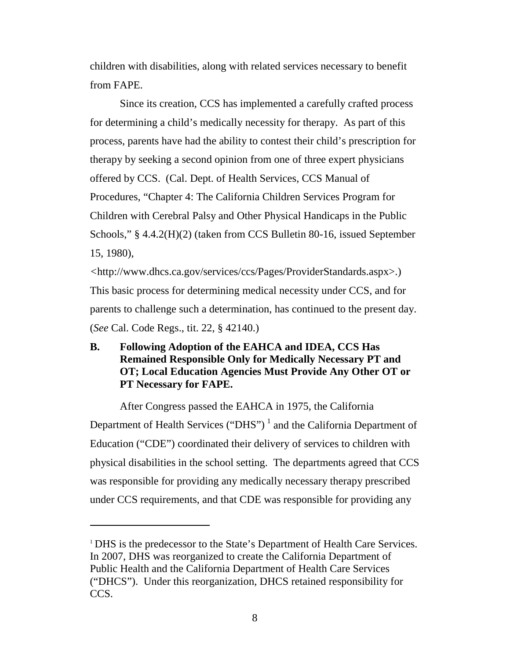children with disabilities, along with related services necessary to benefit from FAPE.

Since its creation, CCS has implemented a carefully crafted process for determining a child's medically necessity for therapy. As part of this process, parents have had the ability to contest their child's prescription for therapy by seeking a second opinion from one of three expert physicians offered by CCS. (Cal. Dept. of Health Services, CCS Manual of Procedures, "Chapter 4: The California Children Services Program for Children with Cerebral Palsy and Other Physical Handicaps in the Public Schools," § 4.4.2(H)(2) (taken from CCS Bulletin 80-16, issued September 15, 1980),

*<*http://www.dhcs.ca.gov/services/ccs/Pages/ProviderStandards.aspx>.) This basic process for determining medical necessity under CCS, and for parents to challenge such a determination, has continued to the present day. (*See* Cal. Code Regs., tit. 22, § 42140.)

# **B. Following Adoption of the EAHCA and IDEA, CCS Has Remained Responsible Only for Medically Necessary PT and OT; Local Education Agencies Must Provide Any Other OT or PT Necessary for FAPE.**

After Congress passed the EAHCA in 1975, the California Department of Health Services ("DHS")<sup>[1](#page-7-0)</sup> and the California Department of Education ("CDE") coordinated their delivery of services to children with physical disabilities in the school setting. The departments agreed that CCS was responsible for providing any medically necessary therapy prescribed under CCS requirements, and that CDE was responsible for providing any

 $\overline{a}$ 

<span id="page-7-0"></span><sup>&</sup>lt;sup>1</sup> DHS is the predecessor to the State's Department of Health Care Services. In 2007, DHS was reorganized to create the California Department of Public Health and the California Department of Health Care Services ("DHCS"). Under this reorganization, DHCS retained responsibility for CCS.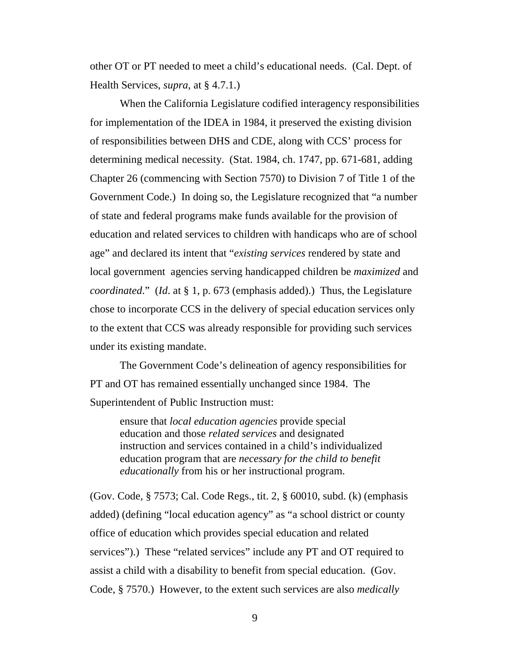other OT or PT needed to meet a child's educational needs. (Cal. Dept. of Health Services, *supra*, at § 4.7.1.)

When the California Legislature codified interagency responsibilities for implementation of the IDEA in 1984, it preserved the existing division of responsibilities between DHS and CDE, along with CCS' process for determining medical necessity. (Stat. 1984, ch. 1747, pp. 671-681, adding Chapter 26 (commencing with Section 7570) to Division 7 of Title 1 of the Government Code.) In doing so, the Legislature recognized that "a number of state and federal programs make funds available for the provision of education and related services to children with handicaps who are of school age" and declared its intent that "*existing services* rendered by state and local government agencies serving handicapped children be *maximized* and *coordinated*." (*Id*. at § 1, p. 673 (emphasis added).) Thus, the Legislature chose to incorporate CCS in the delivery of special education services only to the extent that CCS was already responsible for providing such services under its existing mandate.

The Government Code's delineation of agency responsibilities for PT and OT has remained essentially unchanged since 1984. The Superintendent of Public Instruction must:

ensure that *local education agencies* provide special education and those *related services* and designated instruction and services contained in a child's individualized education program that are *necessary for the child to benefit educationally* from his or her instructional program.

(Gov. Code, § 7573; Cal. Code Regs., tit. 2, § 60010, subd. (k) (emphasis added) (defining "local education agency" as "a school district or county office of education which provides special education and related services").) These "related services" include any PT and OT required to assist a child with a disability to benefit from special education. (Gov. Code, § 7570.) However, to the extent such services are also *medically*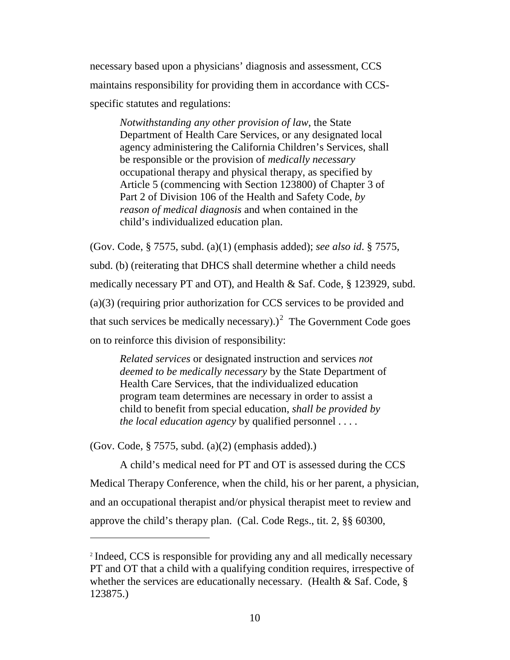necessary based upon a physicians' diagnosis and assessment, CCS maintains responsibility for providing them in accordance with CCSspecific statutes and regulations:

*Notwithstanding any other provision of law*, the State Department of Health Care Services, or any designated local agency administering the California Children's Services, shall be responsible or the provision of *medically necessary* occupational therapy and physical therapy, as specified by Article 5 (commencing with Section 123800) of Chapter 3 of Part 2 of Division 106 of the Health and Safety Code, *by reason of medical diagnosis* and when contained in the child's individualized education plan.

(Gov. Code, § 7575, subd. (a)(1) (emphasis added); *see also id*. § 7575, subd. (b) (reiterating that DHCS shall determine whether a child needs medically necessary PT and OT), and Health & Saf. Code, § 123929, subd. (a)(3) (requiring prior authorization for CCS services to be provided and that such services be medically necessary).)<sup>[2](#page-9-0)</sup> The Government Code goes on to reinforce this division of responsibility:

*Related services* or designated instruction and services *not deemed to be medically necessary* by the State Department of Health Care Services, that the individualized education program team determines are necessary in order to assist a child to benefit from special education, *shall be provided by the local education agency* by qualified personnel . . . .

(Gov. Code, § 7575, subd. (a)(2) (emphasis added).)

 $\overline{a}$ 

A child's medical need for PT and OT is assessed during the CCS Medical Therapy Conference, when the child, his or her parent, a physician, and an occupational therapist and/or physical therapist meet to review and approve the child's therapy plan. (Cal. Code Regs., tit. 2, §§ 60300,

<span id="page-9-0"></span><sup>2</sup> Indeed, CCS is responsible for providing any and all medically necessary PT and OT that a child with a qualifying condition requires, irrespective of whether the services are educationally necessary. (Health  $&$  Saf. Code,  $\S$ 123875.)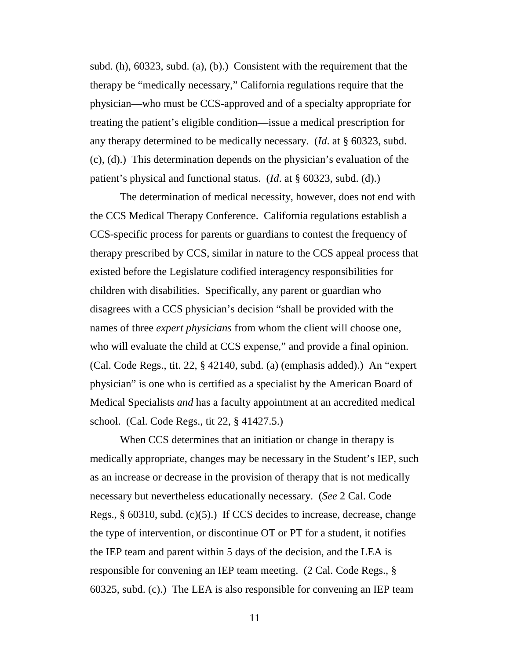subd. (h), 60323, subd. (a), (b).) Consistent with the requirement that the therapy be "medically necessary," California regulations require that the physician—who must be CCS-approved and of a specialty appropriate for treating the patient's eligible condition—issue a medical prescription for any therapy determined to be medically necessary. (*Id*. at § 60323, subd. (c), (d).) This determination depends on the physician's evaluation of the patient's physical and functional status. (*Id*. at § 60323, subd. (d).)

The determination of medical necessity, however, does not end with the CCS Medical Therapy Conference. California regulations establish a CCS-specific process for parents or guardians to contest the frequency of therapy prescribed by CCS, similar in nature to the CCS appeal process that existed before the Legislature codified interagency responsibilities for children with disabilities. Specifically, any parent or guardian who disagrees with a CCS physician's decision "shall be provided with the names of three *expert physicians* from whom the client will choose one, who will evaluate the child at CCS expense," and provide a final opinion. (Cal. Code Regs., tit. 22, § 42140, subd. (a) (emphasis added).) An "expert physician" is one who is certified as a specialist by the American Board of Medical Specialists *and* has a faculty appointment at an accredited medical school. (Cal. Code Regs., tit 22, § 41427.5.)

When CCS determines that an initiation or change in therapy is medically appropriate, changes may be necessary in the Student's IEP, such as an increase or decrease in the provision of therapy that is not medically necessary but nevertheless educationally necessary. (*See* 2 Cal. Code Regs., § 60310, subd. (c)(5).) If CCS decides to increase, decrease, change the type of intervention, or discontinue OT or PT for a student, it notifies the IEP team and parent within 5 days of the decision, and the LEA is responsible for convening an IEP team meeting. (2 Cal. Code Regs., § 60325, subd. (c).) The LEA is also responsible for convening an IEP team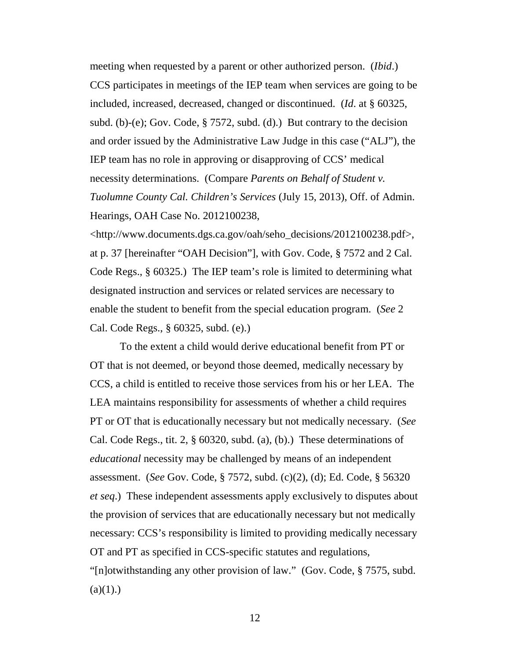meeting when requested by a parent or other authorized person. (*Ibid*.) CCS participates in meetings of the IEP team when services are going to be included, increased, decreased, changed or discontinued. (*Id*. at § 60325, subd. (b)-(e); Gov. Code,  $\S 7572$ , subd. (d).) But contrary to the decision and order issued by the Administrative Law Judge in this case ("ALJ"), the IEP team has no role in approving or disapproving of CCS' medical necessity determinations. (Compare *Parents on Behalf of Student v. Tuolumne County Cal. Children's Services* (July 15, 2013), Off. of Admin. Hearings, OAH Case No. 2012100238,

<http://www.documents.dgs.ca.gov/oah/seho\_decisions/2012100238.pdf>, at p. 37 [hereinafter "OAH Decision"], with Gov. Code, § 7572 and 2 Cal. Code Regs., § 60325.) The IEP team's role is limited to determining what designated instruction and services or related services are necessary to enable the student to benefit from the special education program. (*See* 2 Cal. Code Regs., § 60325, subd. (e).)

To the extent a child would derive educational benefit from PT or OT that is not deemed, or beyond those deemed, medically necessary by CCS, a child is entitled to receive those services from his or her LEA. The LEA maintains responsibility for assessments of whether a child requires PT or OT that is educationally necessary but not medically necessary. (*See*  Cal. Code Regs., tit. 2, § 60320, subd. (a), (b).) These determinations of *educational* necessity may be challenged by means of an independent assessment. (*See* Gov. Code, § 7572, subd. (c)(2), (d); Ed. Code, § 56320 *et seq*.) These independent assessments apply exclusively to disputes about the provision of services that are educationally necessary but not medically necessary: CCS's responsibility is limited to providing medically necessary OT and PT as specified in CCS-specific statutes and regulations, "[n]otwithstanding any other provision of law." (Gov. Code, § 7575, subd.  $(a)(1)$ .)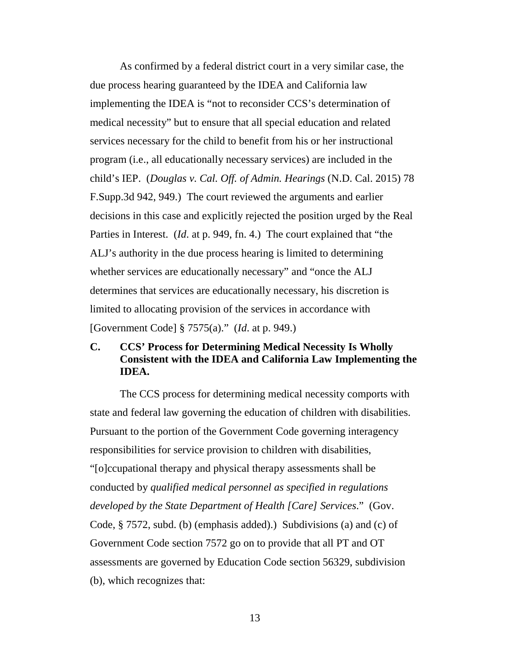As confirmed by a federal district court in a very similar case, the due process hearing guaranteed by the IDEA and California law implementing the IDEA is "not to reconsider CCS's determination of medical necessity" but to ensure that all special education and related services necessary for the child to benefit from his or her instructional program (i.e., all educationally necessary services) are included in the child's IEP. (*Douglas v. Cal. Off. of Admin. Hearings* (N.D. Cal. 2015) 78 F.Supp.3d 942, 949.) The court reviewed the arguments and earlier decisions in this case and explicitly rejected the position urged by the Real Parties in Interest. (*Id*. at p. 949, fn. 4.) The court explained that "the ALJ's authority in the due process hearing is limited to determining whether services are educationally necessary" and "once the ALJ determines that services are educationally necessary, his discretion is limited to allocating provision of the services in accordance with [Government Code] § 7575(a)." (*Id*. at p. 949.)

# **C. CCS' Process for Determining Medical Necessity Is Wholly Consistent with the IDEA and California Law Implementing the IDEA.**

The CCS process for determining medical necessity comports with state and federal law governing the education of children with disabilities. Pursuant to the portion of the Government Code governing interagency responsibilities for service provision to children with disabilities, "[o]ccupational therapy and physical therapy assessments shall be conducted by *qualified medical personnel as specified in regulations developed by the State Department of Health [Care] Services*." (Gov. Code, § 7572, subd. (b) (emphasis added).) Subdivisions (a) and (c) of Government Code section 7572 go on to provide that all PT and OT assessments are governed by Education Code section 56329, subdivision (b), which recognizes that: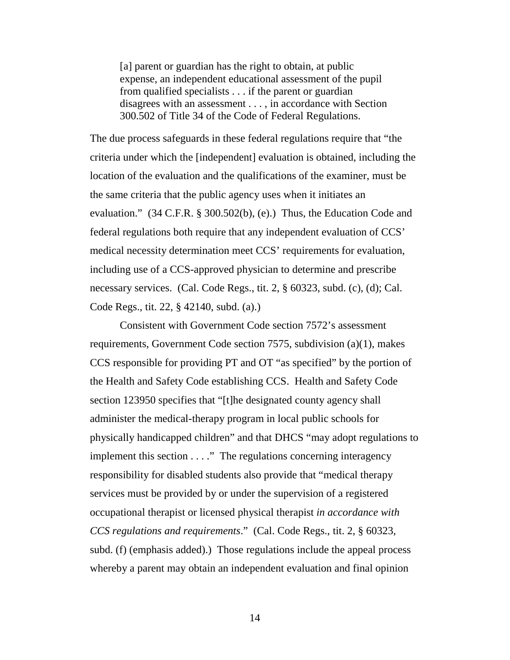[a] parent or guardian has the right to obtain, at public expense, an independent educational assessment of the pupil from qualified specialists . . . if the parent or guardian disagrees with an assessment . . . , in accordance with Section 300.502 of Title 34 of the Code of Federal Regulations.

The due process safeguards in these federal regulations require that "the criteria under which the [independent] evaluation is obtained, including the location of the evaluation and the qualifications of the examiner, must be the same criteria that the public agency uses when it initiates an evaluation." (34 C.F.R. § 300.502(b), (e).) Thus, the Education Code and federal regulations both require that any independent evaluation of CCS' medical necessity determination meet CCS' requirements for evaluation, including use of a CCS-approved physician to determine and prescribe necessary services. (Cal. Code Regs., tit. 2, § 60323, subd. (c), (d); Cal. Code Regs., tit. 22, § 42140, subd. (a).)

Consistent with Government Code section 7572's assessment requirements, Government Code section 7575, subdivision (a)(1), makes CCS responsible for providing PT and OT "as specified" by the portion of the Health and Safety Code establishing CCS. Health and Safety Code section 123950 specifies that "[t]he designated county agency shall administer the medical-therapy program in local public schools for physically handicapped children" and that DHCS "may adopt regulations to implement this section . . . ." The regulations concerning interagency responsibility for disabled students also provide that "medical therapy services must be provided by or under the supervision of a registered occupational therapist or licensed physical therapist *in accordance with CCS regulations and requirements*." (Cal. Code Regs., tit. 2, § 60323, subd. (f) (emphasis added).) Those regulations include the appeal process whereby a parent may obtain an independent evaluation and final opinion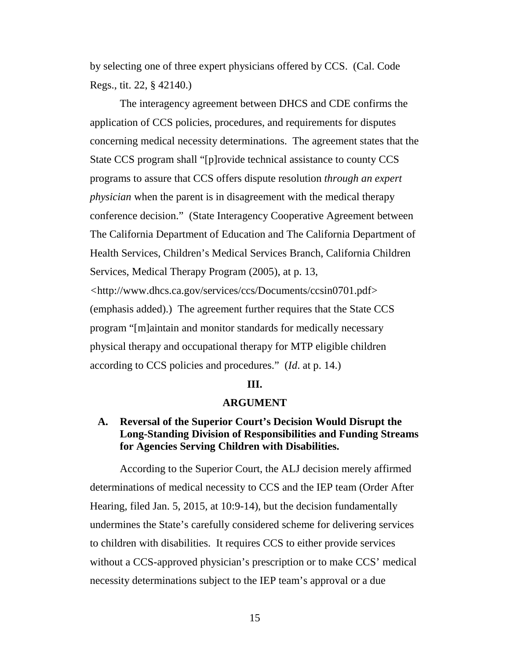by selecting one of three expert physicians offered by CCS. (Cal. Code Regs., tit. 22, § 42140.)

The interagency agreement between DHCS and CDE confirms the application of CCS policies, procedures, and requirements for disputes concerning medical necessity determinations. The agreement states that the State CCS program shall "[p]rovide technical assistance to county CCS programs to assure that CCS offers dispute resolution *through an expert physician* when the parent is in disagreement with the medical therapy conference decision." (State Interagency Cooperative Agreement between The California Department of Education and The California Department of Health Services, Children's Medical Services Branch, California Children Services, Medical Therapy Program (2005), at p. 13, *<*http://www.dhcs.ca.gov/services/ccs/Documents/ccsin0701.pdf>

(emphasis added).) The agreement further requires that the State CCS program "[m]aintain and monitor standards for medically necessary physical therapy and occupational therapy for MTP eligible children according to CCS policies and procedures." (*Id*. at p. 14.)

#### **III.**

#### **ARGUMENT**

# **A. Reversal of the Superior Court's Decision Would Disrupt the Long-Standing Division of Responsibilities and Funding Streams for Agencies Serving Children with Disabilities.**

According to the Superior Court, the ALJ decision merely affirmed determinations of medical necessity to CCS and the IEP team (Order After Hearing, filed Jan. 5, 2015, at 10:9-14), but the decision fundamentally undermines the State's carefully considered scheme for delivering services to children with disabilities. It requires CCS to either provide services without a CCS-approved physician's prescription or to make CCS' medical necessity determinations subject to the IEP team's approval or a due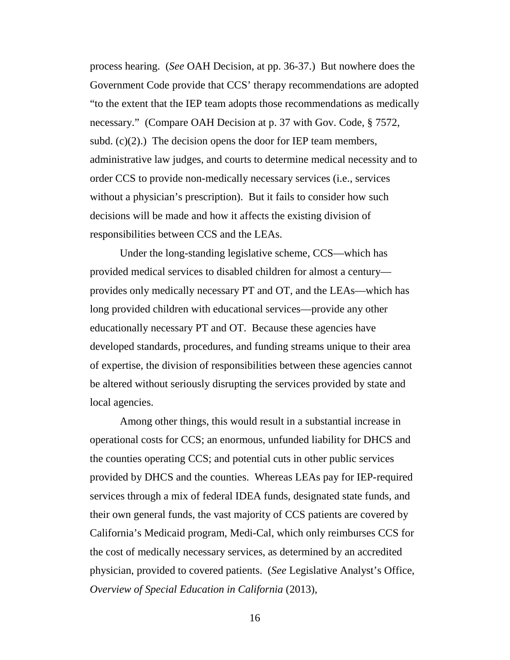process hearing. (*See* OAH Decision, at pp. 36-37.) But nowhere does the Government Code provide that CCS' therapy recommendations are adopted "to the extent that the IEP team adopts those recommendations as medically necessary." (Compare OAH Decision at p. 37 with Gov. Code, § 7572, subd.  $(c)(2)$ .) The decision opens the door for IEP team members, administrative law judges, and courts to determine medical necessity and to order CCS to provide non-medically necessary services (i.e., services without a physician's prescription). But it fails to consider how such decisions will be made and how it affects the existing division of responsibilities between CCS and the LEAs.

Under the long-standing legislative scheme, CCS—which has provided medical services to disabled children for almost a century provides only medically necessary PT and OT, and the LEAs—which has long provided children with educational services—provide any other educationally necessary PT and OT. Because these agencies have developed standards, procedures, and funding streams unique to their area of expertise, the division of responsibilities between these agencies cannot be altered without seriously disrupting the services provided by state and local agencies.

Among other things, this would result in a substantial increase in operational costs for CCS; an enormous, unfunded liability for DHCS and the counties operating CCS; and potential cuts in other public services provided by DHCS and the counties. Whereas LEAs pay for IEP-required services through a mix of federal IDEA funds, designated state funds, and their own general funds, the vast majority of CCS patients are covered by California's Medicaid program, Medi-Cal, which only reimburses CCS for the cost of medically necessary services, as determined by an accredited physician, provided to covered patients. (*See* Legislative Analyst's Office, *Overview of Special Education in California* (2013),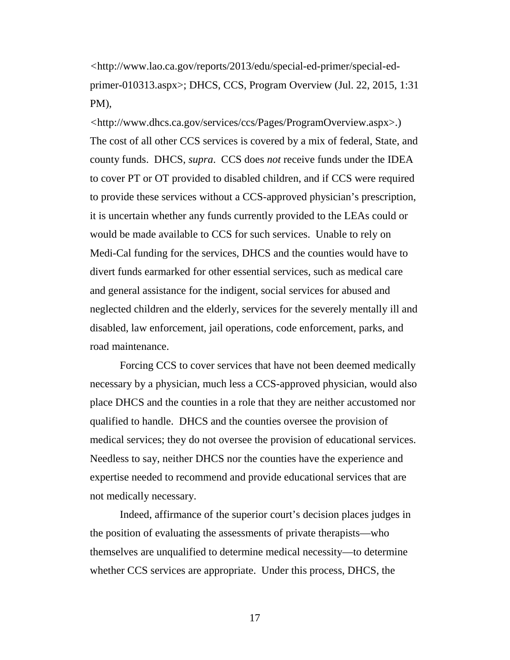*<*http://www.lao.ca.gov/reports/2013/edu/special-ed-primer/special-edprimer-010313.aspx>; DHCS, CCS, Program Overview (Jul. 22, 2015, 1:31 PM),

*<*http://www.dhcs.ca.gov/services/ccs/Pages/ProgramOverview.aspx>.) The cost of all other CCS services is covered by a mix of federal, State, and county funds. DHCS, *supra*. CCS does *not* receive funds under the IDEA to cover PT or OT provided to disabled children, and if CCS were required to provide these services without a CCS-approved physician's prescription, it is uncertain whether any funds currently provided to the LEAs could or would be made available to CCS for such services. Unable to rely on Medi-Cal funding for the services, DHCS and the counties would have to divert funds earmarked for other essential services, such as medical care and general assistance for the indigent, social services for abused and neglected children and the elderly, services for the severely mentally ill and disabled, law enforcement, jail operations, code enforcement, parks, and road maintenance.

Forcing CCS to cover services that have not been deemed medically necessary by a physician, much less a CCS-approved physician, would also place DHCS and the counties in a role that they are neither accustomed nor qualified to handle. DHCS and the counties oversee the provision of medical services; they do not oversee the provision of educational services. Needless to say, neither DHCS nor the counties have the experience and expertise needed to recommend and provide educational services that are not medically necessary.

Indeed, affirmance of the superior court's decision places judges in the position of evaluating the assessments of private therapists—who themselves are unqualified to determine medical necessity—to determine whether CCS services are appropriate. Under this process, DHCS, the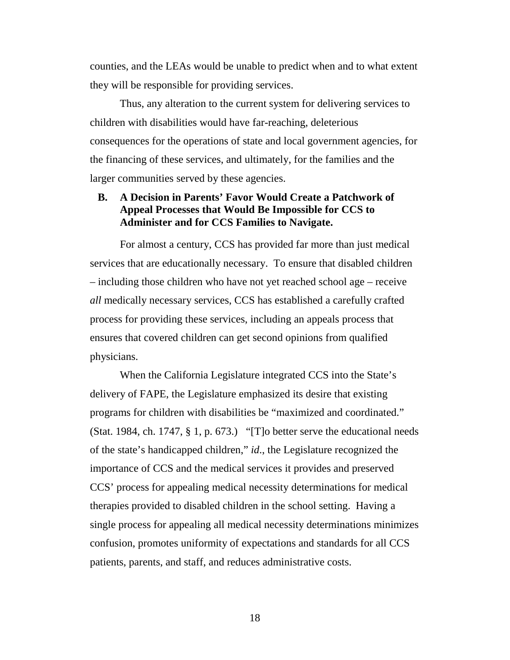counties, and the LEAs would be unable to predict when and to what extent they will be responsible for providing services.

Thus, any alteration to the current system for delivering services to children with disabilities would have far-reaching, deleterious consequences for the operations of state and local government agencies, for the financing of these services, and ultimately, for the families and the larger communities served by these agencies.

# **B. A Decision in Parents' Favor Would Create a Patchwork of Appeal Processes that Would Be Impossible for CCS to Administer and for CCS Families to Navigate.**

For almost a century, CCS has provided far more than just medical services that are educationally necessary. To ensure that disabled children – including those children who have not yet reached school age – receive *all* medically necessary services, CCS has established a carefully crafted process for providing these services, including an appeals process that ensures that covered children can get second opinions from qualified physicians.

When the California Legislature integrated CCS into the State's delivery of FAPE, the Legislature emphasized its desire that existing programs for children with disabilities be "maximized and coordinated." (Stat. 1984, ch. 1747, § 1, p. 673.) "[T]o better serve the educational needs of the state's handicapped children," *id*., the Legislature recognized the importance of CCS and the medical services it provides and preserved CCS' process for appealing medical necessity determinations for medical therapies provided to disabled children in the school setting. Having a single process for appealing all medical necessity determinations minimizes confusion, promotes uniformity of expectations and standards for all CCS patients, parents, and staff, and reduces administrative costs.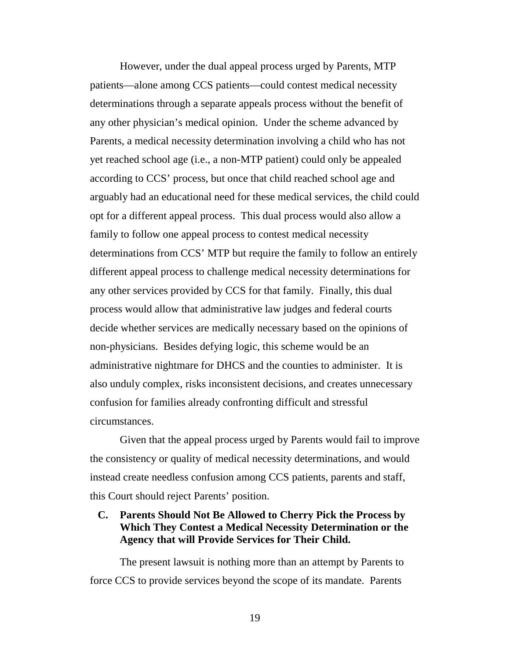However, under the dual appeal process urged by Parents, MTP patients—alone among CCS patients—could contest medical necessity determinations through a separate appeals process without the benefit of any other physician's medical opinion. Under the scheme advanced by Parents, a medical necessity determination involving a child who has not yet reached school age (i.e., a non-MTP patient) could only be appealed according to CCS' process, but once that child reached school age and arguably had an educational need for these medical services, the child could opt for a different appeal process. This dual process would also allow a family to follow one appeal process to contest medical necessity determinations from CCS' MTP but require the family to follow an entirely different appeal process to challenge medical necessity determinations for any other services provided by CCS for that family. Finally, this dual process would allow that administrative law judges and federal courts decide whether services are medically necessary based on the opinions of non-physicians. Besides defying logic, this scheme would be an administrative nightmare for DHCS and the counties to administer. It is also unduly complex, risks inconsistent decisions, and creates unnecessary confusion for families already confronting difficult and stressful circumstances.

Given that the appeal process urged by Parents would fail to improve the consistency or quality of medical necessity determinations, and would instead create needless confusion among CCS patients, parents and staff, this Court should reject Parents' position.

### **C. Parents Should Not Be Allowed to Cherry Pick the Process by Which They Contest a Medical Necessity Determination or the Agency that will Provide Services for Their Child.**

The present lawsuit is nothing more than an attempt by Parents to force CCS to provide services beyond the scope of its mandate. Parents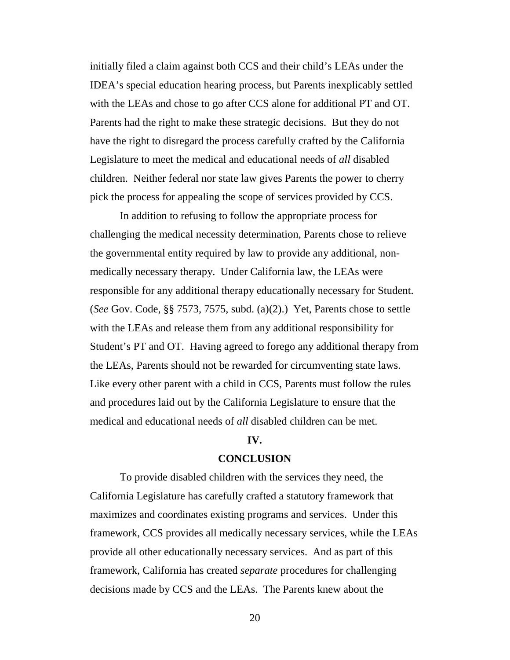initially filed a claim against both CCS and their child's LEAs under the IDEA's special education hearing process, but Parents inexplicably settled with the LEAs and chose to go after CCS alone for additional PT and OT. Parents had the right to make these strategic decisions. But they do not have the right to disregard the process carefully crafted by the California Legislature to meet the medical and educational needs of *all* disabled children. Neither federal nor state law gives Parents the power to cherry pick the process for appealing the scope of services provided by CCS.

In addition to refusing to follow the appropriate process for challenging the medical necessity determination, Parents chose to relieve the governmental entity required by law to provide any additional, nonmedically necessary therapy. Under California law, the LEAs were responsible for any additional therapy educationally necessary for Student. (*See* Gov. Code, §§ 7573, 7575, subd. (a)(2).) Yet, Parents chose to settle with the LEAs and release them from any additional responsibility for Student's PT and OT. Having agreed to forego any additional therapy from the LEAs, Parents should not be rewarded for circumventing state laws. Like every other parent with a child in CCS, Parents must follow the rules and procedures laid out by the California Legislature to ensure that the medical and educational needs of *all* disabled children can be met.

### **IV.**

### **CONCLUSION**

To provide disabled children with the services they need, the California Legislature has carefully crafted a statutory framework that maximizes and coordinates existing programs and services. Under this framework, CCS provides all medically necessary services, while the LEAs provide all other educationally necessary services. And as part of this framework, California has created *separate* procedures for challenging decisions made by CCS and the LEAs. The Parents knew about the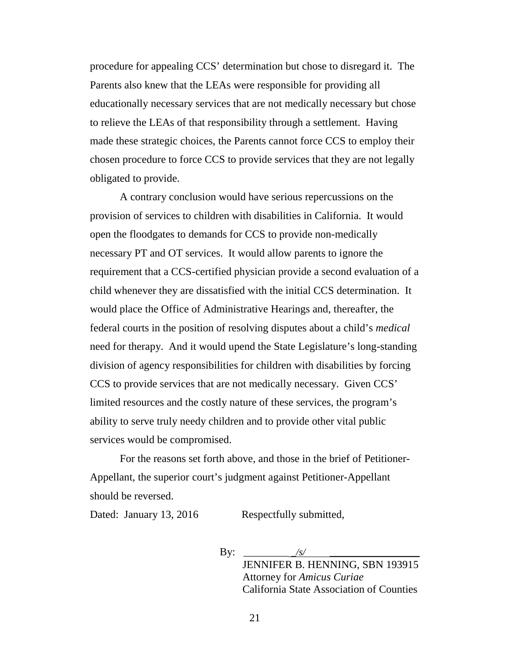procedure for appealing CCS' determination but chose to disregard it. The Parents also knew that the LEAs were responsible for providing all educationally necessary services that are not medically necessary but chose to relieve the LEAs of that responsibility through a settlement. Having made these strategic choices, the Parents cannot force CCS to employ their chosen procedure to force CCS to provide services that they are not legally obligated to provide.

A contrary conclusion would have serious repercussions on the provision of services to children with disabilities in California. It would open the floodgates to demands for CCS to provide non-medically necessary PT and OT services. It would allow parents to ignore the requirement that a CCS-certified physician provide a second evaluation of a child whenever they are dissatisfied with the initial CCS determination. It would place the Office of Administrative Hearings and, thereafter, the federal courts in the position of resolving disputes about a child's *medical* need for therapy. And it would upend the State Legislature's long-standing division of agency responsibilities for children with disabilities by forcing CCS to provide services that are not medically necessary. Given CCS' limited resources and the costly nature of these services, the program's ability to serve truly needy children and to provide other vital public services would be compromised.

For the reasons set forth above, and those in the brief of Petitioner-Appellant, the superior court's judgment against Petitioner-Appellant should be reversed.

Dated: January 13, 2016 Respectfully submitted,

By:  $\frac{1}{s}$ 

JENNIFER B. HENNING, SBN 193915 Attorney for *Amicus Curiae* California State Association of Counties